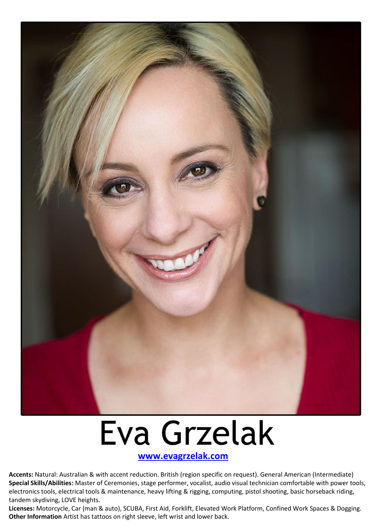

## Eva Grzelak

 **[www.evagrzelak.com](http://www.evagrzelak.com/)**

**Accents:** Natural: Australian & with accent reduction. British (region specific on request). General American (Intermediate) **Special Skills/Abilities:** Master of Ceremonies, stage performer, vocalist, audio visual technician comfortable with power tools, electronics tools, electrical tools & maintenance, heavy lifting & rigging, computing, pistol shooting, basic horseback riding, tandem skydiving, LOVE heights.

**Licenses:** Motorcycle, Car (man & auto), SCUBA, First Aid, Forklift, Elevated Work Platform, Confined Work Spaces & Dogging. **Other Information** Artist has tattoos on right sleeve, left wrist and lower back.